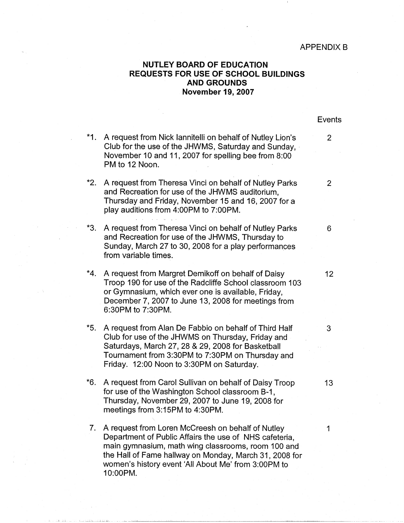## **NUTLEY BOARD OF EDUCATION REQUESTS FOR USE OF SCHOOL BUILDINGS AND GROUNDS November 19, 2007**

|       |                                                                                                                                                                                                                                                                  | Events         |
|-------|------------------------------------------------------------------------------------------------------------------------------------------------------------------------------------------------------------------------------------------------------------------|----------------|
| $*1.$ | A request from Nick lannitelli on behalf of Nutley Lion's<br>Club for the use of the JHWMS, Saturday and Sunday,<br>November 10 and 11, 2007 for spelling bee from 8:00<br>PM to 12 Noon.                                                                        | $\overline{2}$ |
| $*2.$ | A request from Theresa Vinci on behalf of Nutley Parks<br>and Recreation for use of the JHWMS auditorium,<br>Thursday and Friday, November 15 and 16, 2007 for a<br>play auditions from 4:00PM to 7:00PM.                                                        | $\overline{2}$ |
| $*3.$ | A request from Theresa Vinci on behalf of Nutley Parks<br>and Recreation for use of the JHWMS, Thursday to<br>Sunday, March 27 to 30, 2008 for a play performances<br>from variable times.                                                                       | 6              |
| $*4.$ | A request from Margret Demikoff on behalf of Daisy<br>Troop 190 for use of the Radcliffe School classroom 103<br>or Gymnasium, which ever one is available, Friday,<br>December 7, 2007 to June 13, 2008 for meetings from<br>6:30PM to 7:30PM.                  | 12             |
| $*5.$ | A request from Alan De Fabbio on behalf of Third Half<br>Club for use of the JHWMS on Thursday, Friday and<br>Saturdays, March 27, 28 & 29, 2008 for Basketball<br>Tournament from 3:30PM to 7:30PM on Thursday and<br>Friday. 12:00 Noon to 3:30PM on Saturday. | 3              |
| $*6.$ | A request from Carol Sullivan on behalf of Daisy Troop<br>for use of the Washington School classroom B-1,<br>Thursday, November 29, 2007 to June 19, 2008 for<br>meetings from 3:15PM to 4:30PM.                                                                 | 13             |
| 7.    | A request from Loren McCreesh on behalf of Nutley<br>Department of Public Affairs the use of NHS cafeteria,<br>main gymnasium, math wing classrooms, room 100 and<br>the Hall of Fame hallway on Monday, March 31, 2008 for                                      | 1              |

women's history event 'All About Me' from 3:00PM to

10:00PM.